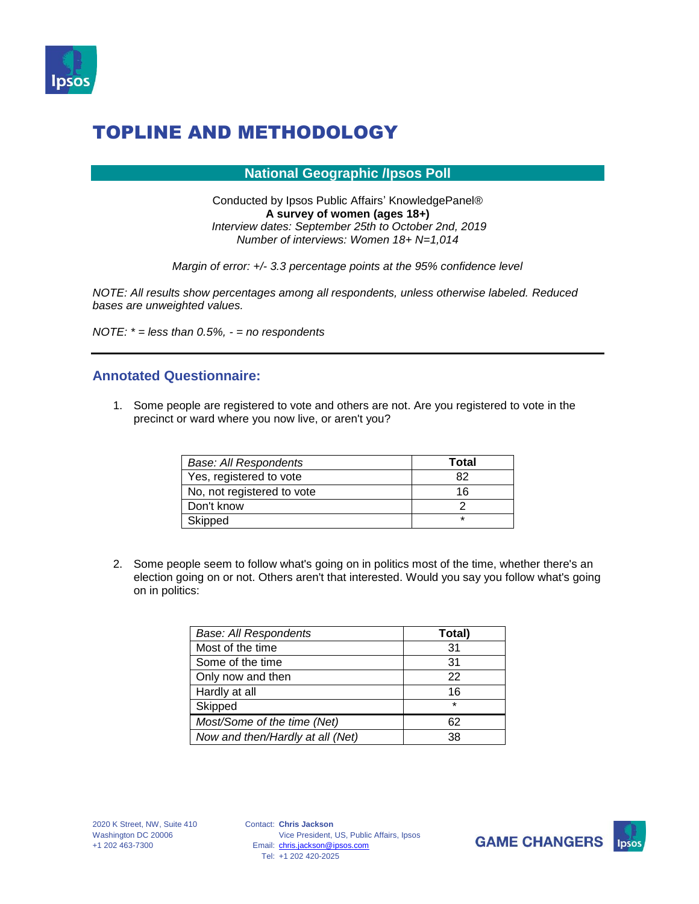

#### **National Geographic /Ipsos Poll**

Conducted by Ipsos Public Affairs' KnowledgePanel® **A survey of women (ages 18+)** *Interview dates: September 25th to October 2nd, 2019 Number of interviews: Women 18+ N=1,014*

*Margin of error: +/- 3.3 percentage points at the 95% confidence level*

*NOTE: All results show percentages among all respondents, unless otherwise labeled. Reduced bases are unweighted values.*

*NOTE: \* = less than 0.5%, - = no respondents*

#### **Annotated Questionnaire:**

1. Some people are registered to vote and others are not. Are you registered to vote in the precinct or ward where you now live, or aren't you?

| <b>Base: All Respondents</b> | Total |
|------------------------------|-------|
| Yes, registered to vote      | 82    |
| No, not registered to vote   | 16    |
| Don't know                   |       |
| Skipped                      |       |

2. Some people seem to follow what's going on in politics most of the time, whether there's an election going on or not. Others aren't that interested. Would you say you follow what's going on in politics:

| <b>Base: All Respondents</b>     | Total)  |
|----------------------------------|---------|
| Most of the time                 | 31      |
| Some of the time                 | 31      |
| Only now and then                | 22      |
| Hardly at all                    | 16      |
| Skipped                          | $\star$ |
| Most/Some of the time (Net)      | 62      |
| Now and then/Hardly at all (Net) | 38      |



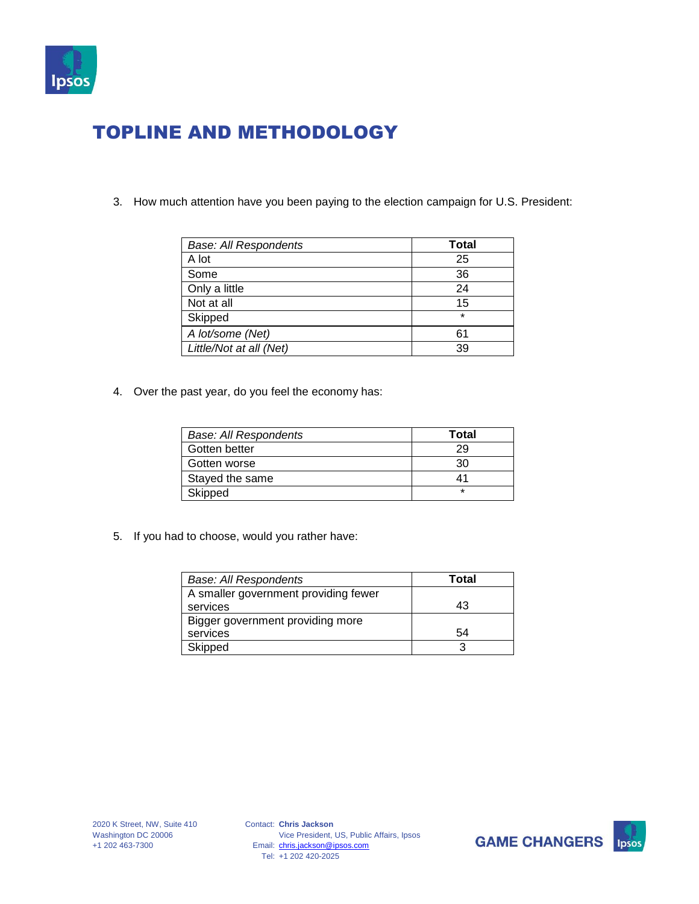

3. How much attention have you been paying to the election campaign for U.S. President:

| <b>Base: All Respondents</b> | <b>Total</b> |
|------------------------------|--------------|
| A lot                        | 25           |
| Some                         | 36           |
| Only a little                | 24           |
| Not at all                   | 15           |
| Skipped                      | $\star$      |
| A lot/some (Net)             | 61           |
| Little/Not at all (Net)      | 39           |

4. Over the past year, do you feel the economy has:

| <b>Base: All Respondents</b> | Total   |
|------------------------------|---------|
| Gotten better                | 29      |
| Gotten worse                 | 30      |
| Stayed the same              | 41      |
| Skipped                      | $\star$ |

5. If you had to choose, would you rather have:

| <b>Base: All Respondents</b>         | Total |
|--------------------------------------|-------|
| A smaller government providing fewer |       |
| services                             | 43    |
| Bigger government providing more     |       |
| services                             | 54    |
| Skipped                              |       |



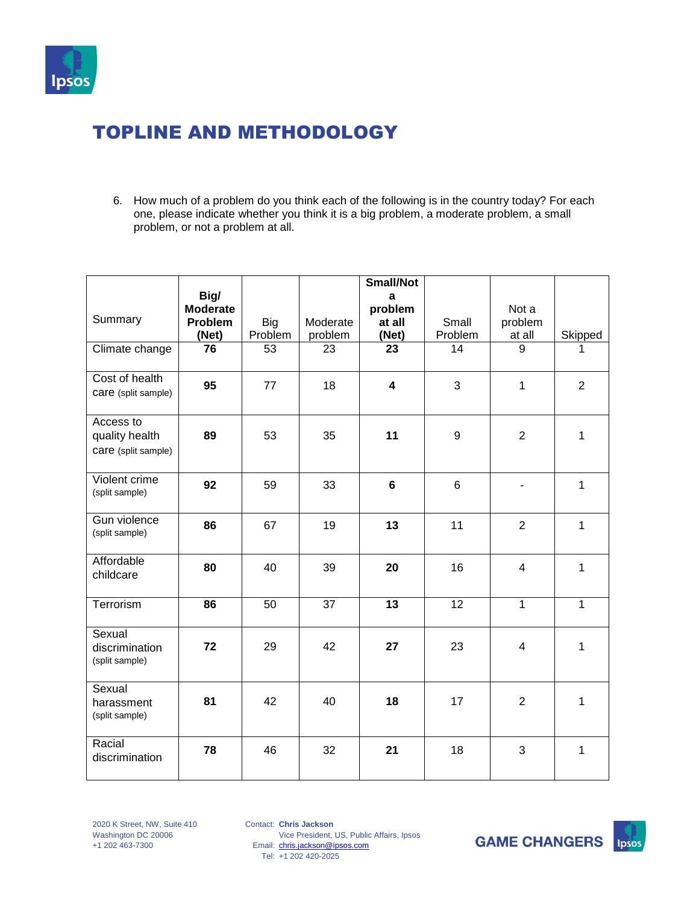

6. How much of a problem do you think each of the following is in the country today? For each one, please indicate whether you think it is a big problem, a moderate problem, a small problem, or not a problem at all.

|                                                    | Big/                                |                       |                     | <b>Small/Not</b><br>a      |                  |                            |                |
|----------------------------------------------------|-------------------------------------|-----------------------|---------------------|----------------------------|------------------|----------------------------|----------------|
| Summary                                            | <b>Moderate</b><br>Problem<br>(Net) | <b>Big</b><br>Problem | Moderate<br>problem | problem<br>at all<br>(Net) | Small<br>Problem | Not a<br>problem<br>at all | Skipped        |
| Climate change                                     | $\overline{76}$                     | $\overline{53}$       | 23                  | $\overline{23}$            | $\overline{14}$  | $\overline{9}$             | 1              |
| Cost of health<br>care (split sample)              | 95                                  | 77                    | 18                  | $\overline{\mathbf{4}}$    | 3                | $\mathbf{1}$               | $\overline{2}$ |
| Access to<br>quality health<br>care (split sample) | 89                                  | 53                    | 35                  | 11                         | 9                | $\overline{2}$             | 1              |
| Violent crime<br>(split sample)                    | 92                                  | 59                    | 33                  | 6                          | $6\phantom{1}$   |                            | $\mathbf{1}$   |
| Gun violence<br>(split sample)                     | 86                                  | 67                    | 19                  | 13                         | 11               | $\overline{2}$             | $\mathbf{1}$   |
| Affordable<br>childcare                            | 80                                  | 40                    | 39                  | 20                         | 16               | $\overline{4}$             | 1              |
| Terrorism                                          | 86                                  | 50                    | $\overline{37}$     | $\overline{13}$            | $\overline{12}$  | 1                          | 1              |
| Sexual<br>discrimination<br>(split sample)         | 72                                  | 29                    | 42                  | 27                         | 23               | 4                          | 1              |
| Sexual<br>harassment<br>(split sample)             | 81                                  | 42                    | 40                  | 18                         | 17               | $\overline{2}$             | 1              |
| Racial<br>discrimination                           | 78                                  | 46                    | 32                  | 21                         | 18               | 3                          | 1              |

Contact: **Chris Jackson** Email: [chris.jackson@ipsos.com](mailto:chris.jackson@ipsos.com) Tel: +1 202 420-2025 Vice President, US, Public Affairs, Ipsos

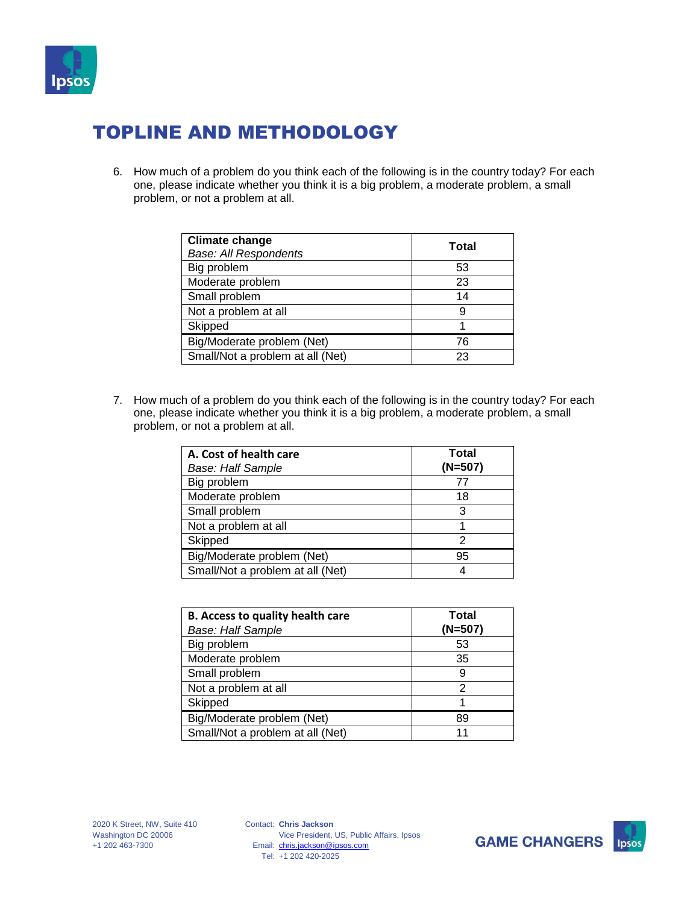

6. How much of a problem do you think each of the following is in the country today? For each one, please indicate whether you think it is a big problem, a moderate problem, a small problem, or not a problem at all.

| <b>Climate change</b><br><b>Base: All Respondents</b> | Total |
|-------------------------------------------------------|-------|
| Big problem                                           | 53    |
| Moderate problem                                      | 23    |
| Small problem                                         | 14    |
| Not a problem at all                                  | 9     |
| Skipped                                               |       |
| Big/Moderate problem (Net)                            | 76    |
| Small/Not a problem at all (Net)                      | 23    |

| A. Cost of health care           | Total<br>$(N=507)$ |
|----------------------------------|--------------------|
| <b>Base: Half Sample</b>         |                    |
| Big problem                      | 77                 |
| Moderate problem                 | 18                 |
| Small problem                    | 3                  |
| Not a problem at all             |                    |
| Skipped                          |                    |
| Big/Moderate problem (Net)       | 95                 |
| Small/Not a problem at all (Net) |                    |

| <b>B. Access to quality health care</b><br><b>Base: Half Sample</b> | Total<br>$(N=507)$ |
|---------------------------------------------------------------------|--------------------|
| Big problem                                                         | 53                 |
| Moderate problem                                                    | 35                 |
| Small problem                                                       | 9                  |
| Not a problem at all                                                | 2                  |
| Skipped                                                             |                    |
| Big/Moderate problem (Net)                                          | 89                 |
| Small/Not a problem at all (Net)                                    | 11                 |



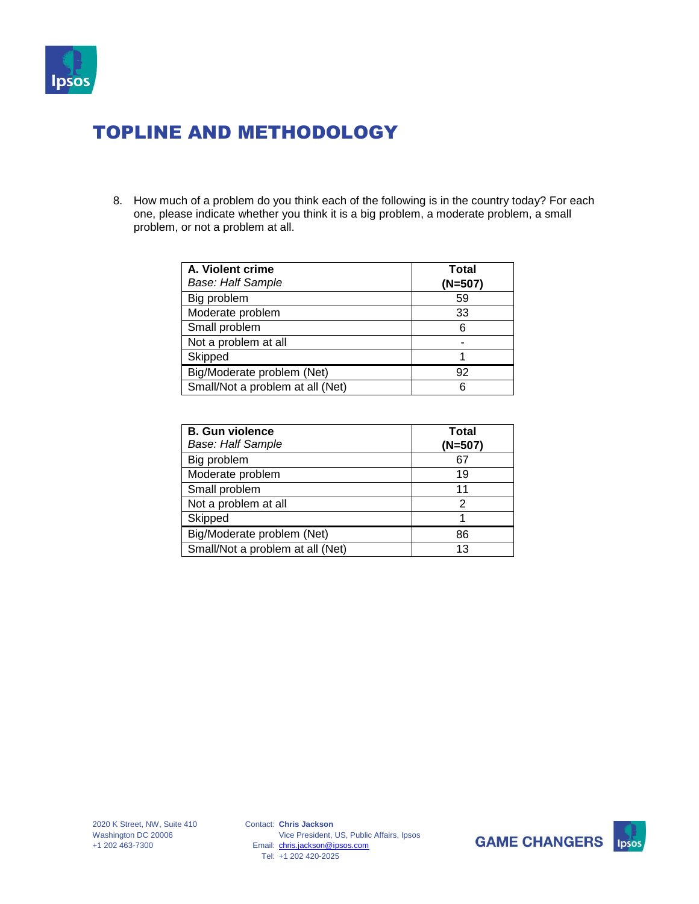

| A. Violent crime<br><b>Base: Half Sample</b> | Total<br>$(N=507)$ |
|----------------------------------------------|--------------------|
| Big problem                                  | 59                 |
| Moderate problem                             | 33                 |
| Small problem                                | 6                  |
| Not a problem at all                         |                    |
| Skipped                                      |                    |
| Big/Moderate problem (Net)                   | 92                 |
| Small/Not a problem at all (Net)             |                    |

| <b>B.</b> Gun violence<br><b>Base: Half Sample</b> | Total<br>$(N=507)$ |
|----------------------------------------------------|--------------------|
| Big problem                                        | 67                 |
| Moderate problem                                   | 19                 |
| Small problem                                      | 11                 |
| Not a problem at all                               | 2                  |
| Skipped                                            |                    |
| Big/Moderate problem (Net)                         | 86                 |
| Small/Not a problem at all (Net)                   | 13                 |



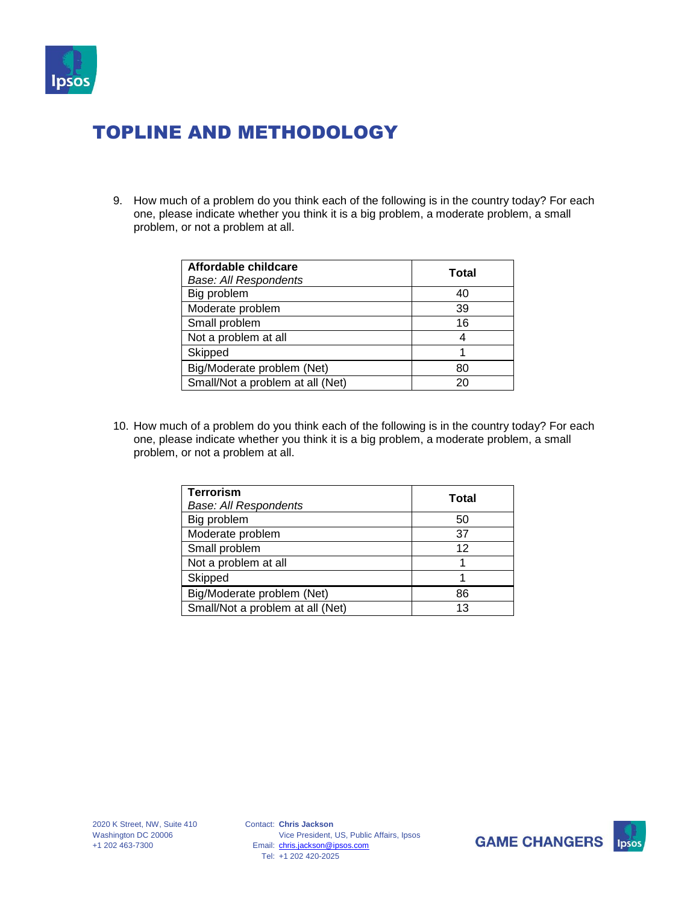

9. How much of a problem do you think each of the following is in the country today? For each one, please indicate whether you think it is a big problem, a moderate problem, a small problem, or not a problem at all.

| Affordable childcare<br><b>Base: All Respondents</b> | Total |
|------------------------------------------------------|-------|
| Big problem                                          | 40    |
| Moderate problem                                     | 39    |
| Small problem                                        | 16    |
| Not a problem at all                                 |       |
| Skipped                                              |       |
| Big/Moderate problem (Net)                           | 80    |
| Small/Not a problem at all (Net)                     | 20    |

| <b>Terrorism</b><br><b>Base: All Respondents</b> | Total |
|--------------------------------------------------|-------|
| Big problem                                      | 50    |
| Moderate problem                                 | 37    |
| Small problem                                    | 12    |
| Not a problem at all                             |       |
| Skipped                                          |       |
| Big/Moderate problem (Net)                       | 86    |
| Small/Not a problem at all (Net)                 | 13    |



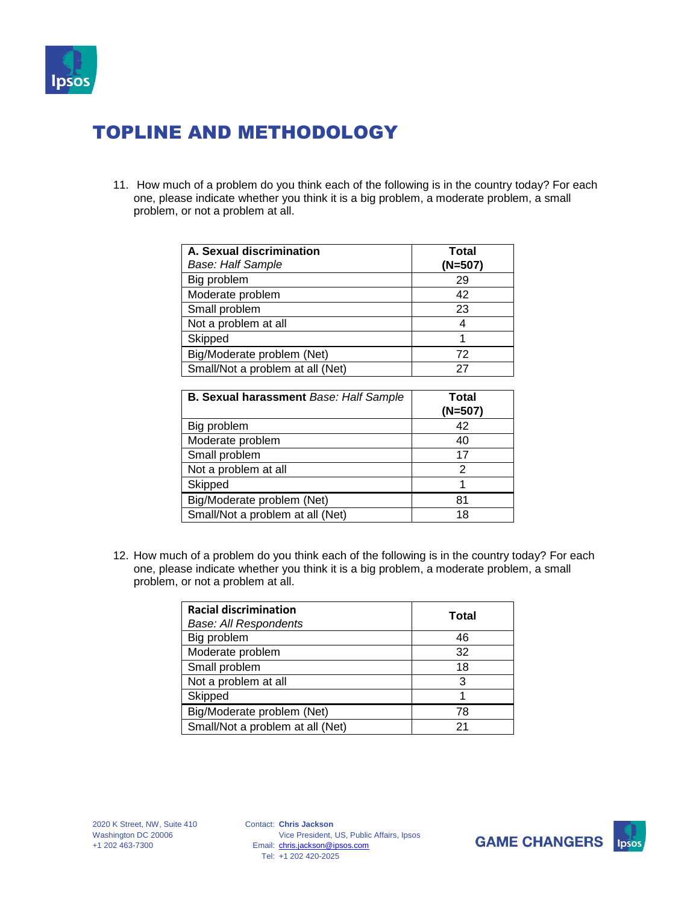

11. How much of a problem do you think each of the following is in the country today? For each one, please indicate whether you think it is a big problem, a moderate problem, a small problem, or not a problem at all.

| A. Sexual discrimination<br><b>Base: Half Sample</b> | Total<br>$(N=507)$ |
|------------------------------------------------------|--------------------|
| Big problem                                          | 29                 |
| Moderate problem                                     | 42                 |
| Small problem                                        | 23                 |
| Not a problem at all                                 |                    |
| Skipped                                              |                    |
| Big/Moderate problem (Net)                           | 72                 |
| Small/Not a problem at all (Net)                     | 27                 |

| <b>B. Sexual harassment Base: Half Sample</b> | Total<br>$(N=507)$ |
|-----------------------------------------------|--------------------|
| Big problem                                   | 42                 |
| Moderate problem                              | 40                 |
| Small problem                                 | 17                 |
| Not a problem at all                          | 2                  |
| Skipped                                       |                    |
| Big/Moderate problem (Net)                    | 81                 |
| Small/Not a problem at all (Net)              | 18                 |

| <b>Racial discrimination</b><br><b>Base: All Respondents</b> | Total |
|--------------------------------------------------------------|-------|
| Big problem                                                  | 46    |
| Moderate problem                                             | 32    |
| Small problem                                                | 18    |
| Not a problem at all                                         | 3     |
| Skipped                                                      |       |
| Big/Moderate problem (Net)                                   | 78    |
| Small/Not a problem at all (Net)                             | 21    |



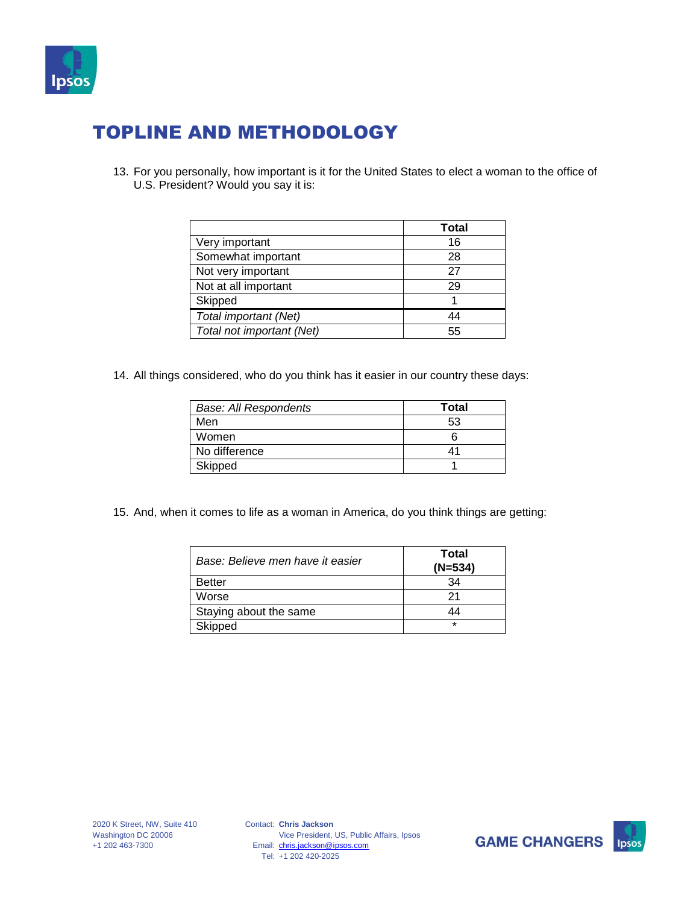

13. For you personally, how important is it for the United States to elect a woman to the office of U.S. President? Would you say it is:

|                           | Total |
|---------------------------|-------|
| Very important            | 16    |
| Somewhat important        | 28    |
| Not very important        | 27    |
| Not at all important      | 29    |
| Skipped                   |       |
| Total important (Net)     | 44    |
| Total not important (Net) | 55    |

14. All things considered, who do you think has it easier in our country these days:

| <b>Base: All Respondents</b> | <b>Total</b> |
|------------------------------|--------------|
| Men                          | 53           |
| Women                        |              |
| No difference                |              |
| Skipped                      |              |

15. And, when it comes to life as a woman in America, do you think things are getting:

| Base: Believe men have it easier | Total<br>$(N=534)$ |
|----------------------------------|--------------------|
| <b>Better</b>                    | 34                 |
| Worse                            | 21                 |
| Staying about the same           | 44                 |
| Skipped                          | $\star$            |



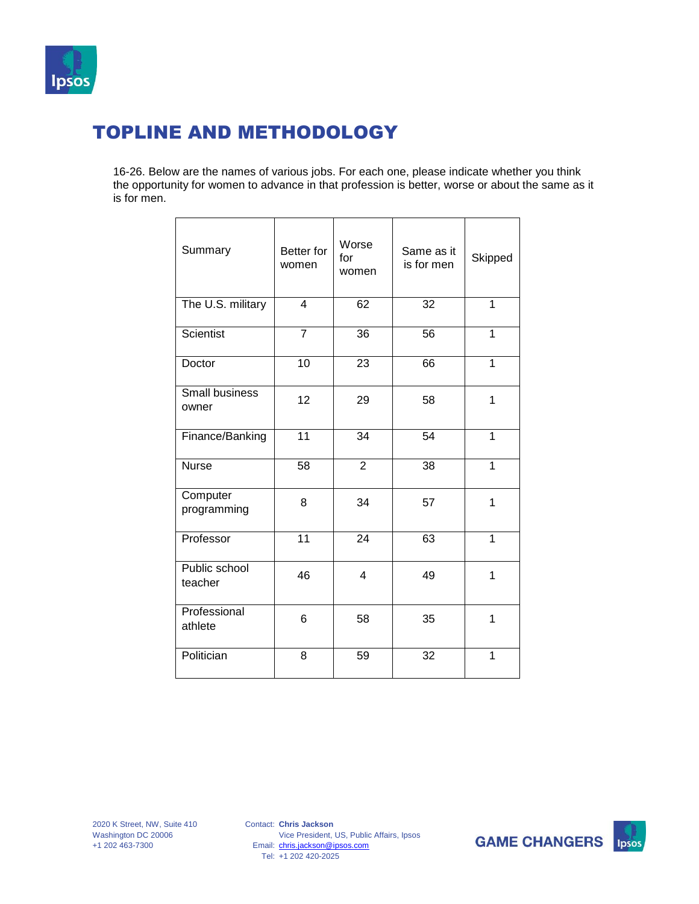

16-26. Below are the names of various jobs. For each one, please indicate whether you think the opportunity for women to advance in that profession is better, worse or about the same as it is for men.

| Summary                        | <b>Better</b> for<br>women | Worse<br>for<br>women | Same as it<br>is for men | Skipped        |
|--------------------------------|----------------------------|-----------------------|--------------------------|----------------|
| The U.S. military              | $\overline{\mathbf{4}}$    | 62                    | 32                       | 1              |
| <b>Scientist</b>               | $\overline{7}$             | 36                    | 56                       | 1              |
| Doctor                         | 10                         | 23                    | 66                       | $\mathbf 1$    |
| <b>Small business</b><br>owner | 12                         | 29                    | 58                       | 1              |
| Finance/Banking                | $\overline{11}$            | 34                    | 54                       | $\mathbf 1$    |
| <b>Nurse</b>                   | 58                         | $\overline{2}$        | 38                       | $\mathbf 1$    |
| Computer<br>programming        | 8                          | 34                    | 57                       | 1              |
| Professor                      | $\overline{11}$            | 24                    | 63                       | $\overline{1}$ |
| Public school<br>teacher       | 46                         | 4                     | 49                       | 1              |
| Professional<br>athlete        | 6                          | 58                    | 35                       | 1              |
| Politician                     | 8                          | 59                    | 32                       | 1              |

Contact: **Chris Jackson** Email: [chris.jackson@ipsos.com](mailto:chris.jackson@ipsos.com) Tel: +1 202 420-2025 Vice President, US, Public Affairs, Ipsos



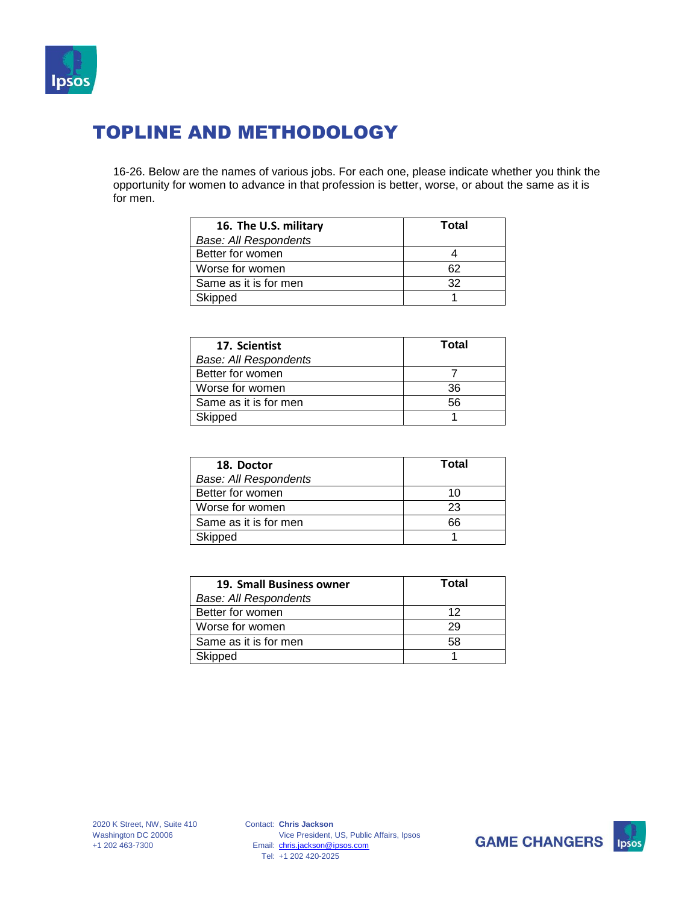

16-26. Below are the names of various jobs. For each one, please indicate whether you think the opportunity for women to advance in that profession is better, worse, or about the same as it is for men.

| 16. The U.S. military        | Total |
|------------------------------|-------|
| <b>Base: All Respondents</b> |       |
| Better for women             |       |
| Worse for women              | 62    |
| Same as it is for men        | 32    |
| Skipped                      |       |

| 17. Scientist                | Total |
|------------------------------|-------|
| <b>Base: All Respondents</b> |       |
| Better for women             |       |
| Worse for women              | 36    |
| Same as it is for men        | 56    |
| Skipped                      |       |

| 18. Doctor                   | Total |
|------------------------------|-------|
| <b>Base: All Respondents</b> |       |
| Better for women             | 10    |
| Worse for women              | 23    |
| Same as it is for men        | 66    |
| Skipped                      |       |

| 19. Small Business owner | Total |
|--------------------------|-------|
| Base: All Respondents    |       |
| Better for women         | 12    |
| Worse for women          | 29    |
| Same as it is for men    | 58    |
| Skipped                  |       |



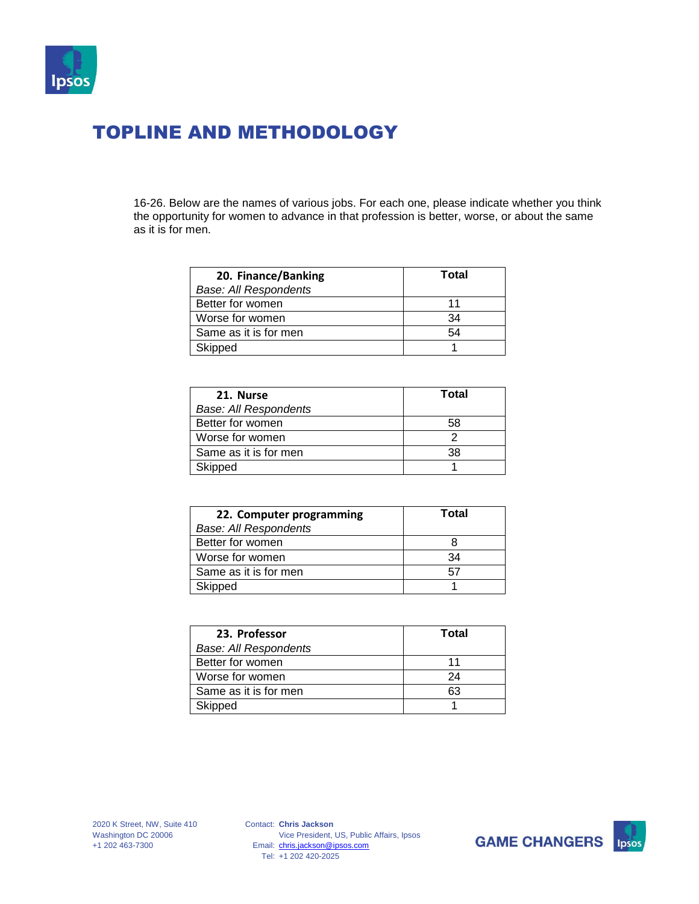

16-26. Below are the names of various jobs. For each one, please indicate whether you think the opportunity for women to advance in that profession is better, worse, or about the same as it is for men.

| 20. Finance/Banking   | Total |
|-----------------------|-------|
| Base: All Respondents |       |
| Better for women      | 11    |
| Worse for women       | 34    |
| Same as it is for men | 54    |
| Skipped               |       |

| 21. Nurse                    | Total |
|------------------------------|-------|
| <b>Base: All Respondents</b> |       |
| Better for women             | 58    |
| Worse for women              |       |
| Same as it is for men        | 38    |
| Skipped                      |       |

| 22. Computer programming     | Total |
|------------------------------|-------|
| <b>Base: All Respondents</b> |       |
| Better for women             |       |
| Worse for women              | 34    |
| Same as it is for men        | 57    |
| Skipped                      |       |

| 23. Professor                | Total |
|------------------------------|-------|
| <b>Base: All Respondents</b> |       |
| Better for women             | 11    |
| Worse for women              | 24    |
| Same as it is for men        | 63    |
| Skipped                      |       |



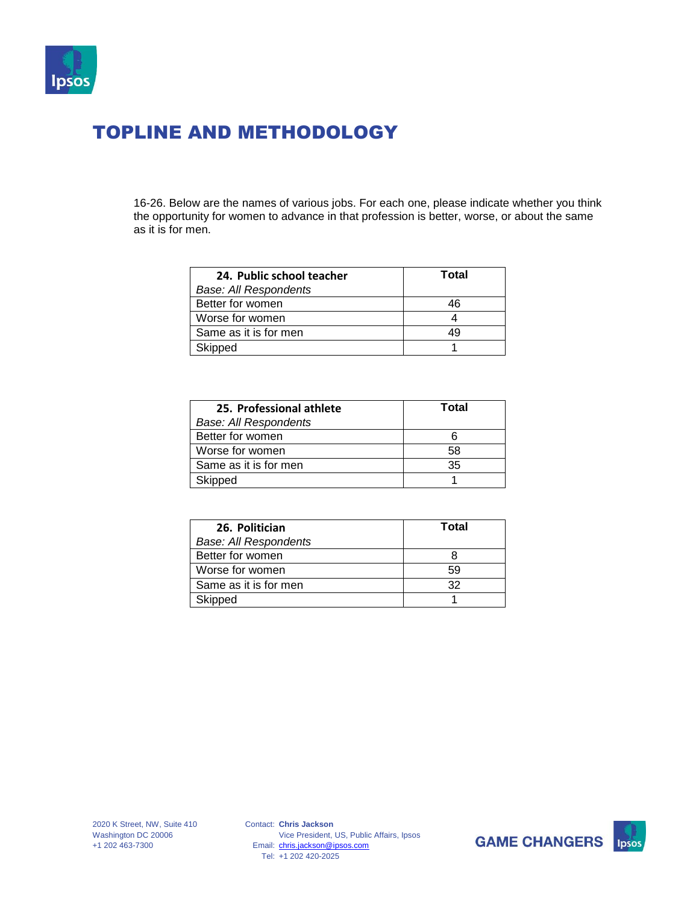

16-26. Below are the names of various jobs. For each one, please indicate whether you think the opportunity for women to advance in that profession is better, worse, or about the same as it is for men.

| 24. Public school teacher    | Total |
|------------------------------|-------|
| <b>Base: All Respondents</b> |       |
| Better for women             | 46    |
| Worse for women              |       |
| Same as it is for men        | 49    |
| Skipped                      |       |

| 25. Professional athlete     | Total |
|------------------------------|-------|
| <b>Base: All Respondents</b> |       |
| Better for women             |       |
| Worse for women              | 58    |
| Same as it is for men        | 35    |
| Skipped                      |       |

| 26. Politician               | Total |
|------------------------------|-------|
| <b>Base: All Respondents</b> |       |
| Better for women             |       |
| Worse for women              | 59    |
| Same as it is for men        | 32    |
| Skipped                      |       |

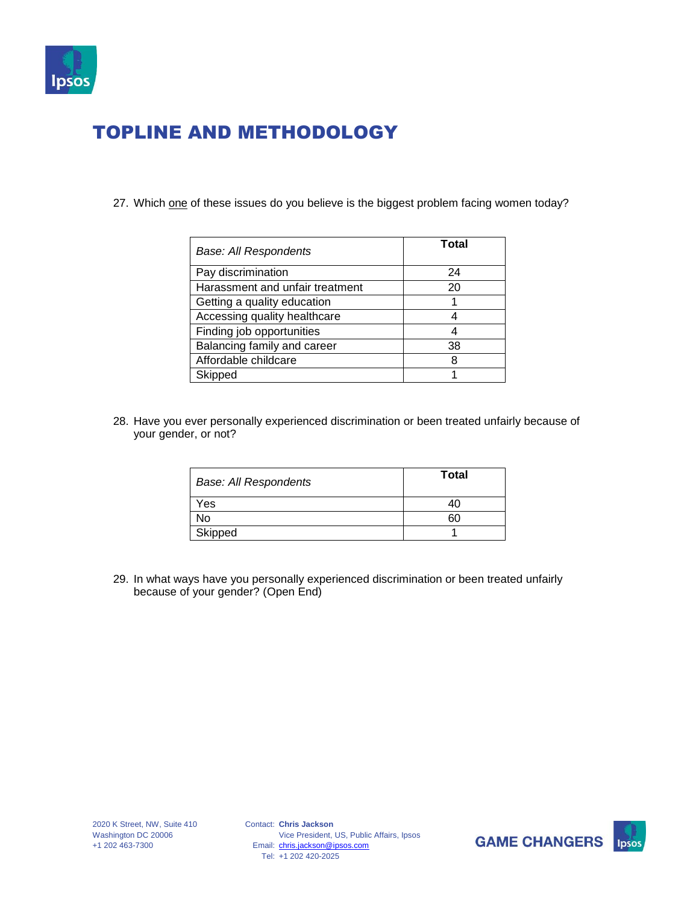

27. Which one of these issues do you believe is the biggest problem facing women today?

| <b>Base: All Respondents</b>    | Total |
|---------------------------------|-------|
| Pay discrimination              | 24    |
| Harassment and unfair treatment | 20    |
| Getting a quality education     |       |
| Accessing quality healthcare    |       |
| Finding job opportunities       |       |
| Balancing family and career     | 38    |
| Affordable childcare            | 8     |
| Skipped                         |       |

28. Have you ever personally experienced discrimination or been treated unfairly because of your gender, or not?

| <b>Base: All Respondents</b> | <b>Total</b> |
|------------------------------|--------------|
| Yes                          | 40           |
| No                           | 60           |
| Skipped                      |              |

29. In what ways have you personally experienced discrimination or been treated unfairly because of your gender? (Open End)

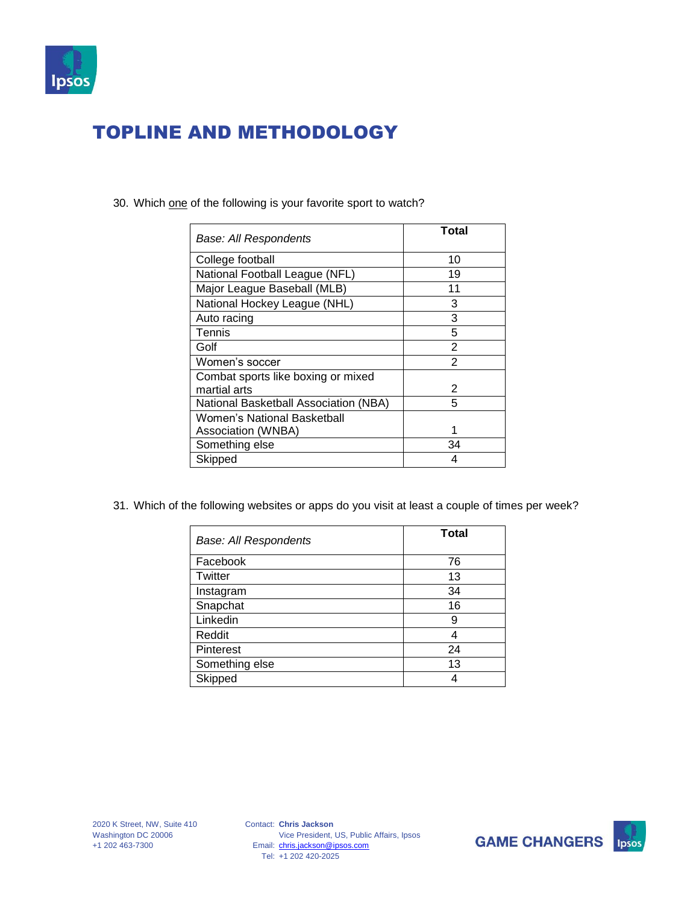

| Base: All Respondents                 | Total         |
|---------------------------------------|---------------|
| College football                      | 10            |
| National Football League (NFL)        | 19            |
| Major League Baseball (MLB)           | 11            |
| National Hockey League (NHL)          | 3             |
| Auto racing                           | 3             |
| Tennis                                | 5             |
| Golf                                  | 2             |
| Women's soccer                        | $\mathcal{P}$ |
| Combat sports like boxing or mixed    |               |
| martial arts                          | 2             |
| National Basketball Association (NBA) | 5             |
| Women's National Basketball           |               |
| Association (WNBA)                    |               |
| Something else                        | 34            |
| Skipped                               | 4             |

30. Which one of the following is your favorite sport to watch?

31. Which of the following websites or apps do you visit at least a couple of times per week?

| <b>Base: All Respondents</b> | <b>Total</b> |
|------------------------------|--------------|
| Facebook                     | 76           |
| Twitter                      | 13           |
| Instagram                    | 34           |
| Snapchat                     | 16           |
| Linkedin                     | 9            |
| Reddit                       | 4            |
| Pinterest                    | 24           |
| Something else               | 13           |
| Skipped                      |              |



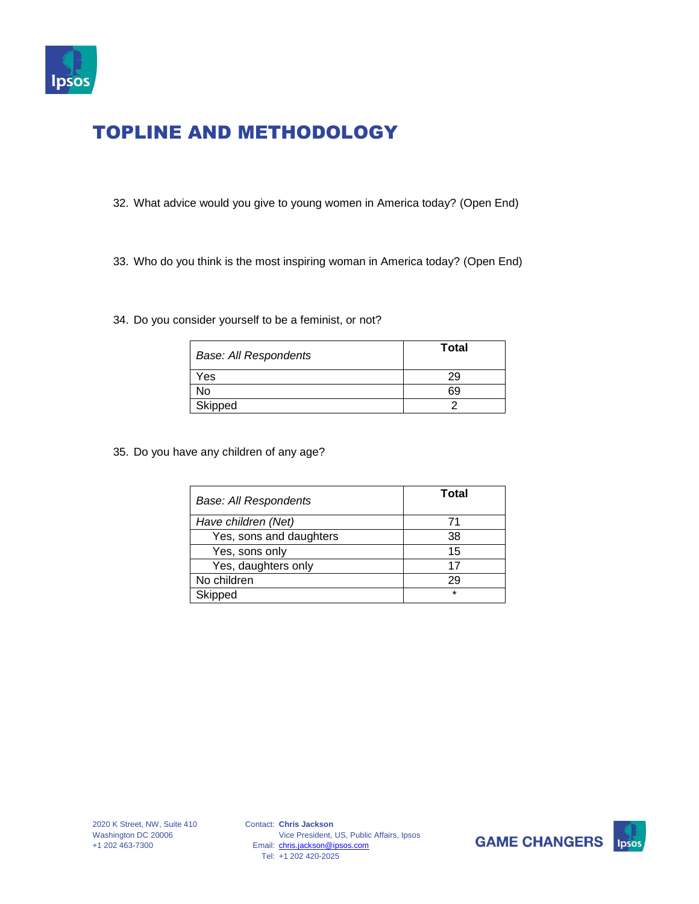

- 32. What advice would you give to young women in America today? (Open End)
- 33. Who do you think is the most inspiring woman in America today? (Open End)

#### 34. Do you consider yourself to be a feminist, or not?

| <b>Base: All Respondents</b> | <b>Total</b> |
|------------------------------|--------------|
| Yes                          | 29           |
| No                           | 69           |
| Skipped                      |              |

35. Do you have any children of any age?

| <b>Base: All Respondents</b> | Total   |
|------------------------------|---------|
| Have children (Net)          | 71      |
| Yes, sons and daughters      | 38      |
| Yes, sons only               | 15      |
| Yes, daughters only          | 17      |
| No children                  | 29      |
| Skipped                      | $\star$ |



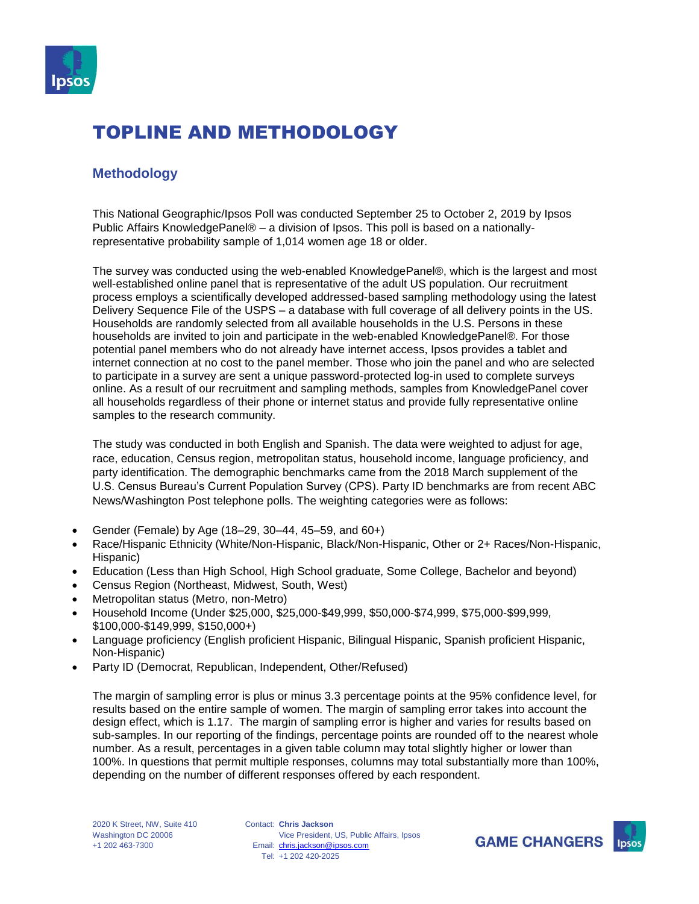

#### **Methodology**

This National Geographic/Ipsos Poll was conducted September 25 to October 2, 2019 by Ipsos Public Affairs KnowledgePanel® – a division of Ipsos. This poll is based on a nationallyrepresentative probability sample of 1,014 women age 18 or older.

The survey was conducted using the web-enabled KnowledgePanel®, which is the largest and most well-established online panel that is representative of the adult US population. Our recruitment process employs a scientifically developed addressed-based sampling methodology using the latest Delivery Sequence File of the USPS – a database with full coverage of all delivery points in the US. Households are randomly selected from all available households in the U.S. Persons in these households are invited to join and participate in the web-enabled KnowledgePanel®. For those potential panel members who do not already have internet access, Ipsos provides a tablet and internet connection at no cost to the panel member. Those who join the panel and who are selected to participate in a survey are sent a unique password-protected log-in used to complete surveys online. As a result of our recruitment and sampling methods, samples from KnowledgePanel cover all households regardless of their phone or internet status and provide fully representative online samples to the research community.

The study was conducted in both English and Spanish. The data were weighted to adjust for age, race, education, Census region, metropolitan status, household income, language proficiency, and party identification. The demographic benchmarks came from the 2018 March supplement of the U.S. Census Bureau's Current Population Survey (CPS). Party ID benchmarks are from recent ABC News/Washington Post telephone polls. The weighting categories were as follows:

- Gender (Female) by Age (18–29, 30–44, 45–59, and 60+)
- Race/Hispanic Ethnicity (White/Non-Hispanic, Black/Non-Hispanic, Other or 2+ Races/Non-Hispanic, Hispanic)
- Education (Less than High School, High School graduate, Some College, Bachelor and beyond)
- Census Region (Northeast, Midwest, South, West)
- Metropolitan status (Metro, non-Metro)
- Household Income (Under \$25,000, \$25,000-\$49,999, \$50,000-\$74,999, \$75,000-\$99,999, \$100,000-\$149,999, \$150,000+)
- Language proficiency (English proficient Hispanic, Bilingual Hispanic, Spanish proficient Hispanic, Non-Hispanic)
- Party ID (Democrat, Republican, Independent, Other/Refused)

The margin of sampling error is plus or minus 3.3 percentage points at the 95% confidence level, for results based on the entire sample of women. The margin of sampling error takes into account the design effect, which is 1.17. The margin of sampling error is higher and varies for results based on sub-samples. In our reporting of the findings, percentage points are rounded off to the nearest whole number. As a result, percentages in a given table column may total slightly higher or lower than 100%. In questions that permit multiple responses, columns may total substantially more than 100%, depending on the number of different responses offered by each respondent.

Contact: **Chris Jackson** Email: [chris.jackson@ipsos.com](mailto:chris.jackson@ipsos.com) Tel: +1 202 420-2025 Vice President, US, Public Affairs, Ipsos